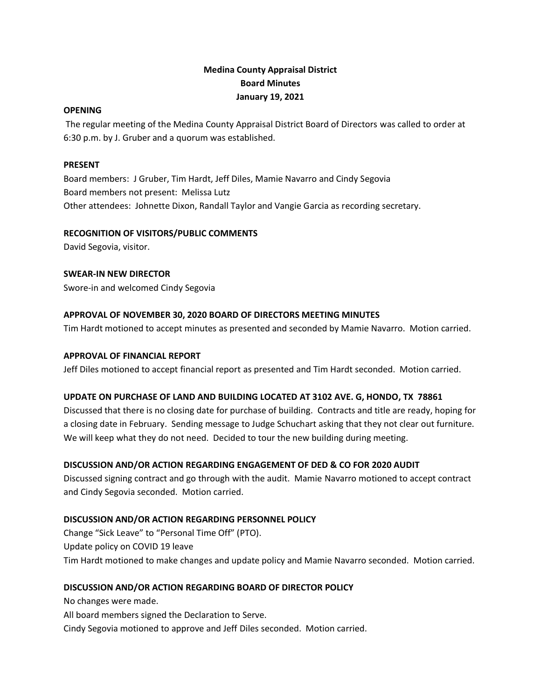# **Medina County Appraisal District Board Minutes January 19, 2021**

#### **OPENING**

The regular meeting of the Medina County Appraisal District Board of Directors was called to order at 6:30 p.m. by J. Gruber and a quorum was established.

### **PRESENT**

Board members: J Gruber, Tim Hardt, Jeff Diles, Mamie Navarro and Cindy Segovia Board members not present: Melissa Lutz Other attendees: Johnette Dixon, Randall Taylor and Vangie Garcia as recording secretary.

### **RECOGNITION OF VISITORS/PUBLIC COMMENTS**

David Segovia, visitor.

# **SWEAR-IN NEW DIRECTOR**

Swore-in and welcomed Cindy Segovia

## **APPROVAL OF NOVEMBER 30, 2020 BOARD OF DIRECTORS MEETING MINUTES**

Tim Hardt motioned to accept minutes as presented and seconded by Mamie Navarro. Motion carried.

### **APPROVAL OF FINANCIAL REPORT**

Jeff Diles motioned to accept financial report as presented and Tim Hardt seconded. Motion carried.

# **UPDATE ON PURCHASE OF LAND AND BUILDING LOCATED AT 3102 AVE. G, HONDO, TX 78861**

Discussed that there is no closing date for purchase of building. Contracts and title are ready, hoping for a closing date in February. Sending message to Judge Schuchart asking that they not clear out furniture. We will keep what they do not need. Decided to tour the new building during meeting.

# **DISCUSSION AND/OR ACTION REGARDING ENGAGEMENT OF DED & CO FOR 2020 AUDIT**

Discussed signing contract and go through with the audit. Mamie Navarro motioned to accept contract and Cindy Segovia seconded. Motion carried.

# **DISCUSSION AND/OR ACTION REGARDING PERSONNEL POLICY**

Change "Sick Leave" to "Personal Time Off" (PTO). Update policy on COVID 19 leave Tim Hardt motioned to make changes and update policy and Mamie Navarro seconded. Motion carried.

# **DISCUSSION AND/OR ACTION REGARDING BOARD OF DIRECTOR POLICY**

No changes were made.

All board members signed the Declaration to Serve.

Cindy Segovia motioned to approve and Jeff Diles seconded. Motion carried.